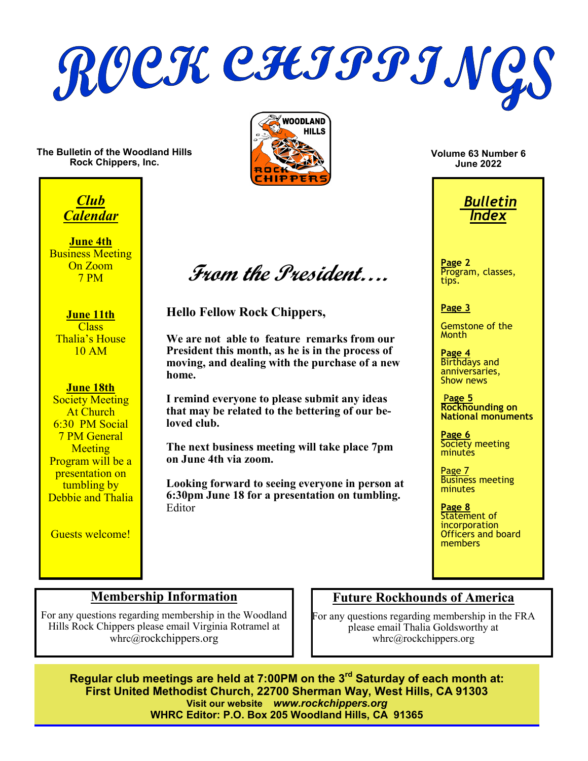ROCK CHIPPING

**The Bulletin of the Woodland Hills Rock Chippers, Inc.**



*Club Calendar*

**June 4th Business Meeting** On Zoom 7 PM

**June 11th** Class Thalia's House 10 AM

#### **June 18th**

**Society Meeting** At Church 6:30 PM Social 7 PM General **Meeting** Program will be a presentation on tumbling by Debbie and Thalia

Guests welcome!

**From the President….**

**Hello Fellow Rock Chippers,**

**We are not able to feature remarks from our President this month, as he is in the process of moving, and dealing with the purchase of a new home.**

**I remind everyone to please submit any ideas that may be related to the bettering of our beloved club.**

**The next business meeting will take place 7pm on June 4th via zoom.**

**Looking forward to seeing everyone in person at 6:30pm June 18 for a presentation on tumbling.** Editor

**Volume 63 Number 6 June 2022**



**Page 2** Program, classes, tips.

#### **Page 3**

Gemstone of the **Month** 

**Page 4** Birthdays and anniversaries, Show news

P**age 5 Rockhounding on National monuments**

**Page 6** Society meeting **minutes** 

Page 7 Business meeting minutes

**Page 8** Statement of incorporation Officers and board members

## **Membership Information**

For any questions regarding membership in the Woodland Hills Rock Chippers please email Virginia Rotramel at whrc@rockchippers.org

## **Future Rockhounds of America**

For any questions regarding membership in the FRA please email Thalia Goldsworthy at whrc@rockchippers.org

**Regular club meetings are held at 7:00PM on the 3rd Saturday of each month at: First United Methodist Church, 22700 Sherman Way, West Hills, CA 91303 Visit our website** *www.rockchippers.org* **WHRC Editor: P.O. Box 205 Woodland Hills, CA 91365**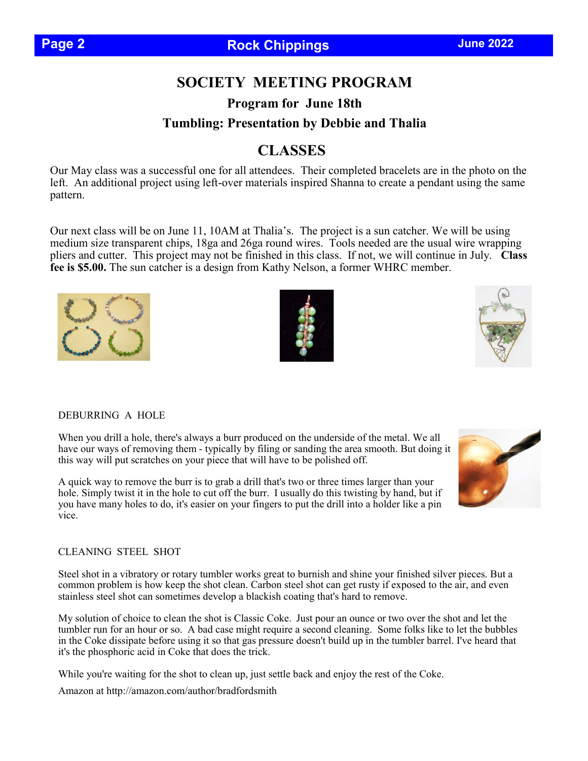# **SOCIETY MEETING PROGRAM**

**Program for June 18th Tumbling: Presentation by Debbie and Thalia**

# **CLASSES**

Our May class was a successful one for all attendees. Their completed bracelets are in the photo on the left. An additional project using left-over materials inspired Shanna to create a pendant using the same pattern.

Our next class will be on June 11, 10AM at Thalia's. The project is a sun catcher. We will be using medium size transparent chips, 18ga and 26ga round wires. Tools needed are the usual wire wrapping pliers and cutter. This project may not be finished in this class. If not, we will continue in July. **Class fee is \$5.00.** The sun catcher is a design from Kathy Nelson, a former WHRC member.

DEBURRING A HOLE

When you drill a hole, there's always a burr produced on the underside of the metal. We all have our ways of removing them - typically by filing or sanding the area smooth. But doing it this way will put scratches on your piece that will have to be polished off.

A quick way to remove the burr is to grab a drill that's two or three times larger than your hole. Simply twist it in the hole to cut off the burr. I usually do this twisting by hand, but if you have many holes to do, it's easier on your fingers to put the drill into a holder like a pin vice.

#### CLEANING STEEL SHOT

Steel shot in a vibratory or rotary tumbler works great to burnish and shine your finished silver pieces. But a common problem is how keep the shot clean. Carbon steel shot can get rusty if exposed to the air, and even stainless steel shot can sometimes develop a blackish coating that's hard to remove.

My solution of choice to clean the shot is Classic Coke. Just pour an ounce or two over the shot and let the tumbler run for an hour or so. A bad case might require a second cleaning. Some folks like to let the bubbles in the Coke dissipate before using it so that gas pressure doesn't build up in the tumbler barrel. I've heard that it's the phosphoric acid in Coke that does the trick.

While you're waiting for the shot to clean up, just settle back and enjoy the rest of the Coke.

Amazon at http://amazon.com/author/bradfordsmith





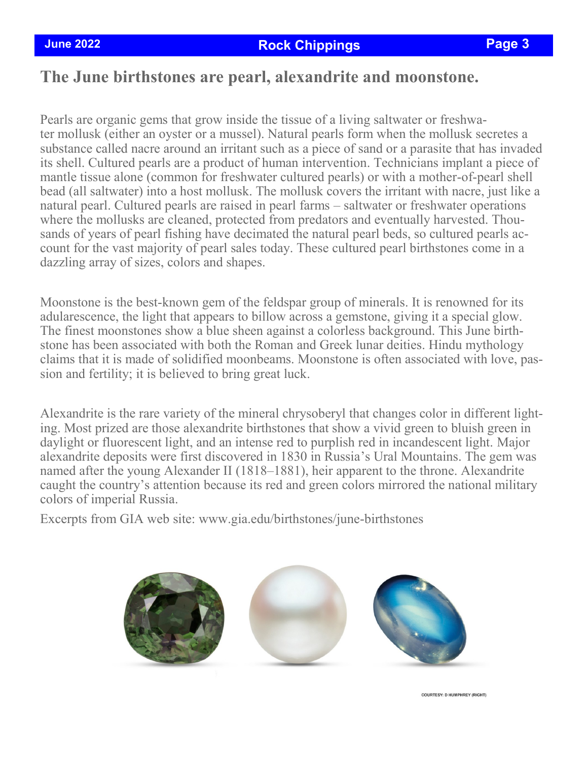# **The June birthstones are pearl, alexandrite and moonstone.**

Pearls are organic gems that grow inside the tissue of a living saltwater or freshwater mollusk (either an oyster or a mussel). Natural pearls form when the mollusk secretes a substance called nacre around an irritant such as a piece of sand or a parasite that has invaded its shell. Cultured pearls are a product of human intervention. Technicians implant a piece of mantle tissue alone (common for freshwater cultured pearls) or with a mother-of-pearl shell bead (all saltwater) into a host mollusk. The mollusk covers the irritant with nacre, just like a natural pearl. Cultured pearls are raised in pearl farms – saltwater or freshwater operations where the mollusks are cleaned, protected from predators and eventually harvested. Thousands of years of pearl fishing have decimated the natural pearl beds, so cultured pearls account for the vast majority of pearl sales today. These cultured pearl birthstones come in a dazzling array of sizes, colors and shapes.

Moonstone is the best-known gem of the feldspar group of minerals. It is renowned for its adularescence, the light that appears to billow across a gemstone, giving it a special glow. The finest moonstones show a blue sheen against a colorless background. This June birthstone has been associated with both the Roman and Greek lunar deities. Hindu mythology claims that it is made of solidified moonbeams. Moonstone is often associated with love, passion and fertility; it is believed to bring great luck.

Alexandrite is the rare variety of the mineral chrysoberyl that changes color in different lighting. Most prized are those alexandrite birthstones that show a vivid green to bluish green in daylight or fluorescent light, and an intense red to purplish red in incandescent light. Major alexandrite deposits were first discovered in 1830 in Russia's Ural Mountains. The gem was named after the young Alexander II (1818–1881), heir apparent to the throne. Alexandrite caught the country's attention because its red and green colors mirrored the national military colors of imperial Russia.

Excerpts from GIA web site: www.gia.edu/birthstones/june-birthstones



**COURTESY: D HUMPHREY (RIGHT)**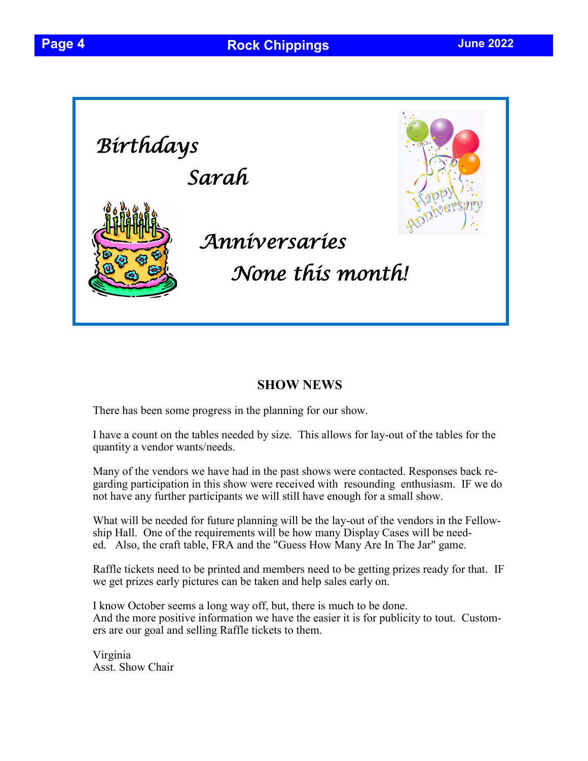

## **SHOW NEWS**

There has been some progress in the planning for our show.

I have a count on the tables needed by size. This allows for lay-out of the tables for the quantity a vendor wants/needs.

Many of the vendors we have had in the past shows were contacted. Responses back regarding participation in this show were received with resounding enthusiasm. IF we do not have any further participants we will still have enough for a small show.

What will be needed for future planning will be the lay-out of the vendors in the Fellowship Hall. One of the requirements will be how many Display Cases will be needed. Also, the craft table, FRA and the "Guess How Many Are In The Jar" game.

Raffle tickets need to be printed and members need to be getting prizes ready for that. IF we get prizes early pictures can be taken and help sales early on.

I know October seems a long way off, but, there is much to be done. And the more positive information we have the easier it is for publicity to tout. Customers are our goal and selling Raffle tickets to them.

Virginia Asst. Show Chair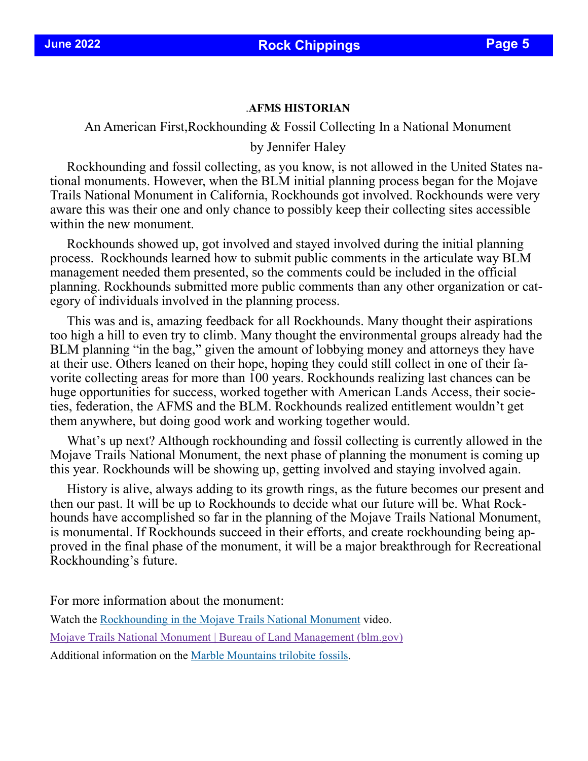#### .**AFMS HISTORIAN**

An American First,Rockhounding & Fossil Collecting In a National Monument

by Jennifer Haley

 Rockhounding and fossil collecting, as you know, is not allowed in the United States national monuments. However, when the BLM initial planning process began for the Mojave Trails National Monument in California, Rockhounds got involved. Rockhounds were very aware this was their one and only chance to possibly keep their collecting sites accessible within the new monument.

 Rockhounds showed up, got involved and stayed involved during the initial planning process. Rockhounds learned how to submit public comments in the articulate way BLM management needed them presented, so the comments could be included in the official planning. Rockhounds submitted more public comments than any other organization or category of individuals involved in the planning process.

 This was and is, amazing feedback for all Rockhounds. Many thought their aspirations too high a hill to even try to climb. Many thought the environmental groups already had the BLM planning "in the bag," given the amount of lobbying money and attorneys they have at their use. Others leaned on their hope, hoping they could still collect in one of their favorite collecting areas for more than 100 years. Rockhounds realizing last chances can be huge opportunities for success, worked together with American Lands Access, their societies, federation, the AFMS and the BLM. Rockhounds realized entitlement wouldn't get them anywhere, but doing good work and working together would.

 What's up next? Although rockhounding and fossil collecting is currently allowed in the Mojave Trails National Monument, the next phase of planning the monument is coming up this year. Rockhounds will be showing up, getting involved and staying involved again.

 History is alive, always adding to its growth rings, as the future becomes our present and then our past. It will be up to Rockhounds to decide what our future will be. What Rockhounds have accomplished so far in the planning of the Mojave Trails National Monument, is monumental. If Rockhounds succeed in their efforts, and create rockhounding being approved in the final phase of the monument, it will be a major breakthrough for Recreational Rockhounding's future.

For more information about the monument:

Watch the [Rockhounding in the Mojave Trails National Monument](https://youtu.be/CRLWh_Vzn94) video.

[Mojave Trails National Monument | Bureau of Land Management \(blm.gov\)](https://www.blm.gov/programs/national-conservation-lands/california/mojave-trails-national-monument)

Additional information on the [Marble Mountains trilobite fossils.](https://www.blm.gov/sites/blm.gov/files/uploads/NLCS_CA_Mojave-TrailsNM_Marble-Mountains-trilobite-fossil-colection.pdf)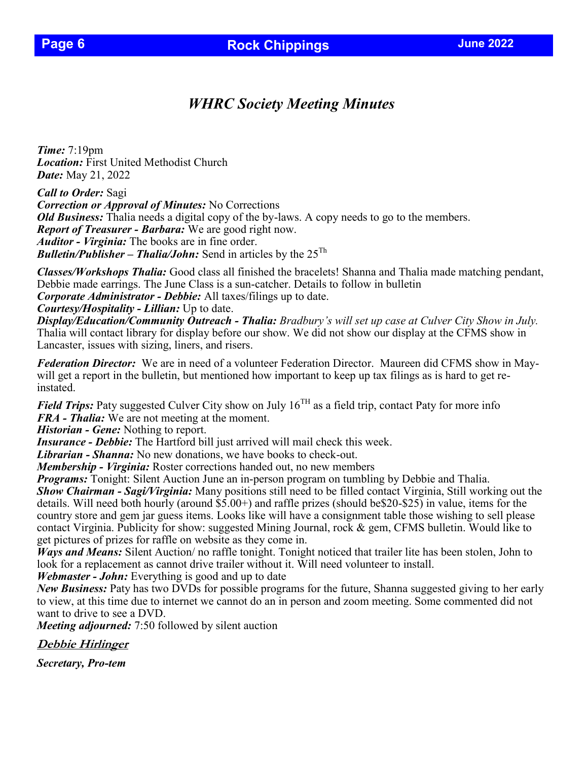# *WHRC Society Meeting Minutes*

*Time:* 7:19pm *Location:* First United Methodist Church *Date:* May 21, 2022

*Call to Order:* Sagi *Correction or Approval of Minutes:* No Corrections *Old Business:* Thalia needs a digital copy of the by-laws. A copy needs to go to the members. *Report of Treasurer - Barbara:* We are good right now. *Auditor - Virginia:* The books are in fine order. *Bulletin/Publisher – Thalia/John:* Send in articles by the 25<sup>Th</sup>

*Classes/Workshops Thalia:* Good class all finished the bracelets! Shanna and Thalia made matching pendant, Debbie made earrings. The June Class is a sun-catcher. Details to follow in bulletin *Corporate Administrator - Debbie:* All taxes/filings up to date.

*Courtesy/Hospitality - Lillian:* Up to date.

*Display/Education/Community Outreach - Thalia: Bradbury's will set up case at Culver City Show in July.*  Thalia will contact library for display before our show. We did not show our display at the CFMS show in Lancaster, issues with sizing, liners, and risers.

*Federation Director:* We are in need of a volunteer Federation Director. Maureen did CFMS show in Maywill get a report in the bulletin, but mentioned how important to keep up tax filings as is hard to get reinstated.

*Field Trips:* Paty suggested Culver City show on July  $16^{TH}$  as a field trip, contact Paty for more info *FRA - Thalia:* We are not meeting at the moment.

*Historian - Gene:* Nothing to report.

*Insurance - Debbie:* The Hartford bill just arrived will mail check this week.

*Librarian - Shanna:* No new donations, we have books to check-out.

*Membership - Virginia:* Roster corrections handed out, no new members

*Programs:* Tonight: Silent Auction June an in-person program on tumbling by Debbie and Thalia.

*Show Chairman - Sagi/Virginia:* Many positions still need to be filled contact Virginia, Still working out the details. Will need both hourly (around \$5.00+) and raffle prizes (should be\$20-\$25) in value, items for the country store and gem jar guess items. Looks like will have a consignment table those wishing to sell please contact Virginia. Publicity for show: suggested Mining Journal, rock & gem, CFMS bulletin. Would like to get pictures of prizes for raffle on website as they come in.

*Ways and Means:* Silent Auction/ no raffle tonight. Tonight noticed that trailer lite has been stolen, John to look for a replacement as cannot drive trailer without it. Will need volunteer to install.

*Webmaster - John:* Everything is good and up to date

*New Business:* Paty has two DVDs for possible programs for the future, Shanna suggested giving to her early to view, at this time due to internet we cannot do an in person and zoom meeting. Some commented did not want to drive to see a DVD.

*Meeting adjourned:* 7:50 followed by silent auction

**Debbie Hirlinger**

*Secretary, Pro-tem*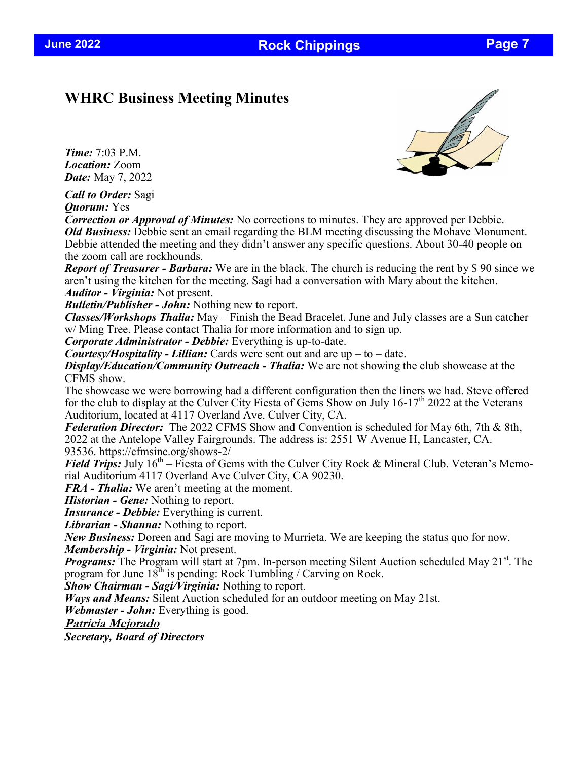**June 2022 Rock Chippings Page 7** 

## **WHRC Business Meeting Minutes**

*Time:* 7:03 P.M. *Location:* Zoom *Date:* May 7, 2022



*Call to Order:* Sagi *Quorum:* Yes

*Correction or Approval of Minutes:* No corrections to minutes. They are approved per Debbie. *Old Business:* Debbie sent an email regarding the BLM meeting discussing the Mohave Monument. Debbie attended the meeting and they didn't answer any specific questions. About 30-40 people on the zoom call are rockhounds.

*Report of Treasurer - Barbara:* We are in the black. The church is reducing the rent by \$ 90 since we aren't using the kitchen for the meeting. Sagi had a conversation with Mary about the kitchen. *Auditor - Virginia:* Not present.

*Bulletin/Publisher - John:* Nothing new to report.

*Classes/Workshops Thalia:* May – Finish the Bead Bracelet. June and July classes are a Sun catcher w/ Ming Tree. Please contact Thalia for more information and to sign up.

*Corporate Administrator - Debbie:* Everything is up-to-date.

*Courtesy/Hospitality - Lillian:* Cards were sent out and are up – to – date.

*Display/Education/Community Outreach - Thalia:* We are not showing the club showcase at the CFMS show.

The showcase we were borrowing had a different configuration then the liners we had. Steve offered for the club to display at the Culver City Fiesta of Gems Show on July  $16-17<sup>th</sup>$  2022 at the Veterans Auditorium, located at 4117 Overland Ave. Culver City, CA.

*Federation Director:* The 2022 CFMS Show and Convention is scheduled for May 6th, 7th & 8th, 2022 at the Antelope Valley Fairgrounds. The address is: 2551 W Avenue H, Lancaster, CA. 93536. https://cfmsinc.org/shows-2/

*Field Trips:* July  $16<sup>th</sup> - F$ iesta of Gems with the Culver City Rock & Mineral Club. Veteran's Memorial Auditorium 4117 Overland Ave Culver City, CA 90230.

*FRA - Thalia:* We aren't meeting at the moment.

*Historian - Gene:* Nothing to report.

*Insurance - Debbie:* Everything is current.

*Librarian - Shanna:* Nothing to report.

*New Business:* Doreen and Sagi are moving to Murrieta. We are keeping the status quo for now. *Membership - Virginia:* Not present.

*Programs:* The Program will start at 7pm. In-person meeting Silent Auction scheduled May 21<sup>st</sup>. The program for June  $18^{th}$  is pending: Rock Tumbling / Carving on Rock.

*Show Chairman - Sagi/Virginia:* Nothing to report.

*Ways and Means:* Silent Auction scheduled for an outdoor meeting on May 21st.

*Webmaster - John:* Everything is good.

**Patricia Mejorado**

*Secretary, Board of Directors*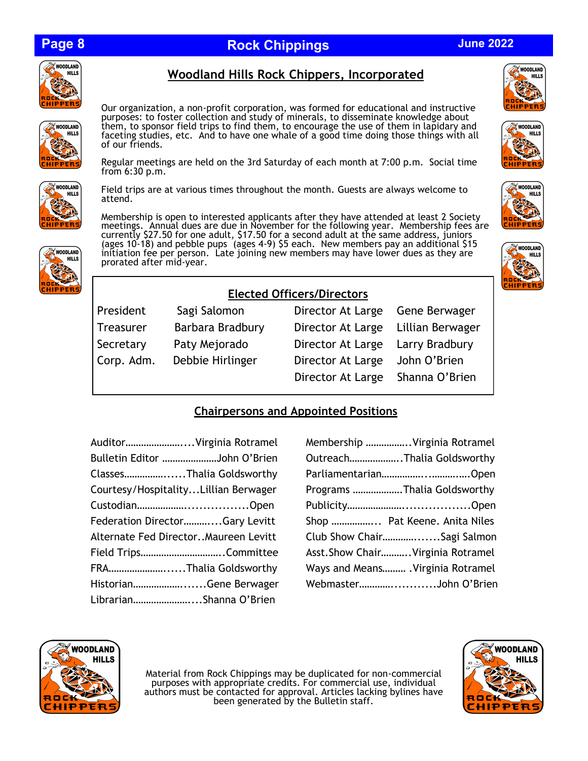# **Page 8**

# **Rock Chippings June 2022**



WOODLAND

**IPPERS** 

**HILLS** 

Our organization, a non-profit corporation, was formed for educational and instructive purposes: to foster collection and study of minerals, to disseminate knowledge about them, to sponsor field trips to find them, to encourage the use of them in lapidary and faceting studies, etc. And to have one whale of a good time doing those things with all of our friends.

**Woodland Hills Rock Chippers, Incorporated**

Regular meetings are held on the 3rd Saturday of each month at 7:00 p.m. Social time from 6:30 p.m.



Field trips are at various times throughout the month. Guests are always welcome to attend.

Membership is open to interested applicants after they have attended at least 2 Society meetings. Annual dues are due in November for the following year. Membership fees are currently \$27.50 for one adult, \$17.50 for a second adult at the same address, juniors (ages 10-18) and pebble pups (ages 4-9) \$5 each. New members pay an additional \$15 initiation fee per person. Late joining new members may have lower dues as they are prorated after mid-year.











### **Elected Officers/Directors**

President Sagi Salomon Director Bergers At Large Bergers At Large Bergers At Large Bergers At Large Bergers Be Treasurer Barbara Bradbury D Secretary Paty Mejorado Director At Large Larry Bradbury Bradbury Bradbury Bradbury Bradbury Bradbury Bradbury Corp. Adm. Debbie Hirlinger D

| Sagi Salomon     | Director At Large Gene Berwager    |                |
|------------------|------------------------------------|----------------|
| Barbara Bradbury | Director At Large Lillian Berwager |                |
| Paty Mejorado    | Director At Large Larry Bradbury   |                |
| Debbie Hirlinger | Director At Large John O'Brien     |                |
|                  | Director At Large                  | Shanna O'Brien |
|                  |                                    |                |

### **Chairpersons and Appointed Positions**

| AuditorVirginia Rotramel              |  |
|---------------------------------------|--|
| Bulletin Editor John O'Brien          |  |
| ClassesThalia Goldsworthy             |  |
| Courtesy/Hospitality Lillian Berwager |  |
|                                       |  |
| Federation DirectorGary Levitt        |  |
| Alternate Fed DirectorMaureen Levitt  |  |
| Field TripsCommittee                  |  |
| FRAThalia Goldsworthy                 |  |
| HistorianGene Berwager                |  |
| LibrarianShanna O'Brien               |  |

| Membership Virginia Rotramel     |
|----------------------------------|
| OutreachThalia Goldsworthy       |
| ParliamentarianOpen              |
| Programs Thalia Goldsworthy      |
|                                  |
| Shop  Pat Keene. Anita Niles     |
| Club Show ChairSagi Salmon       |
| Asst.Show ChairVirginia Rotramel |
| Ways and Means Virginia Rotramel |
| WebmasterJohn O'Brien            |
|                                  |



Material from Rock Chippings may be duplicated for non-commercial purposes with appropriate credits. For commercial use, individual authors must be contacted for approval. Articles lacking bylines have been generated by the Bulletin staff.